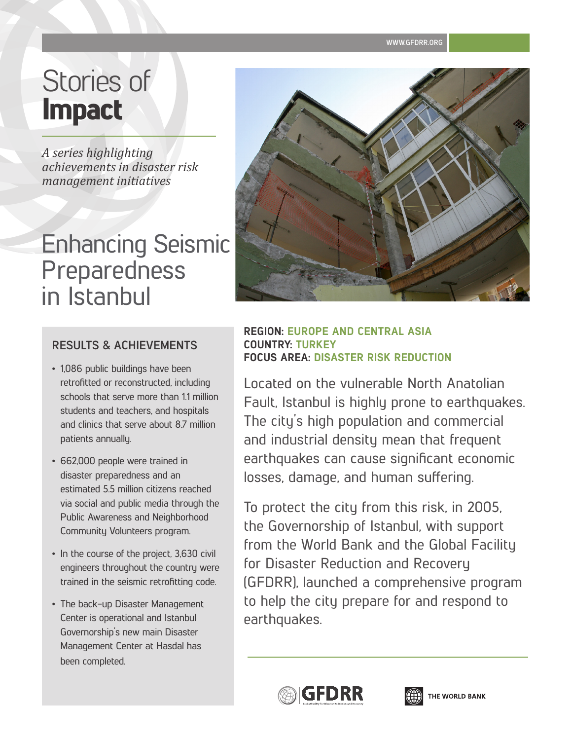**WWW.GFDRR.ORG**

# Stories of Impact

*A series highlighting achievements in disaster risk management initiatives*

## Enhancing Seismic Preparedness in Istanbul

### **RESULTS & ACHIEVEMENTS**

- 1,086 public buildings have been retrofitted or reconstructed, including schools that serve more than 1.1 million students and teachers, and hospitals and clinics that serve about 8.7 million patients annually.
- 662,000 people were trained in disaster preparedness and an estimated 5.5 million citizens reached via social and public media through the Public Awareness and Neighborhood Community Volunteers program.
- In the course of the project, 3,630 civil engineers throughout the country were trained in the seismic retrofitting code.
- The back-up Disaster Management Center is operational and Istanbul Governorship's new main Disaster Management Center at Hasdal has been completed.

#### **REGION: EUROPE AND CENTRAL ASIA COUNTRY: TURKEY FOCUS AREA: DISASTER RISK REDUCTION**

Located on the vulnerable North Anatolian Fault, Istanbul is highly prone to earthquakes. The city's high population and commercial and industrial density mean that frequent earthquakes can cause significant economic losses, damage, and human suffering.

To protect the city from this risk, in 2005, the Governorship of Istanbul, with support from the World Bank and the Global Facility for Disaster Reduction and Recovery (GFDRR), launched a comprehensive program to help the city prepare for and respond to earthquakes.